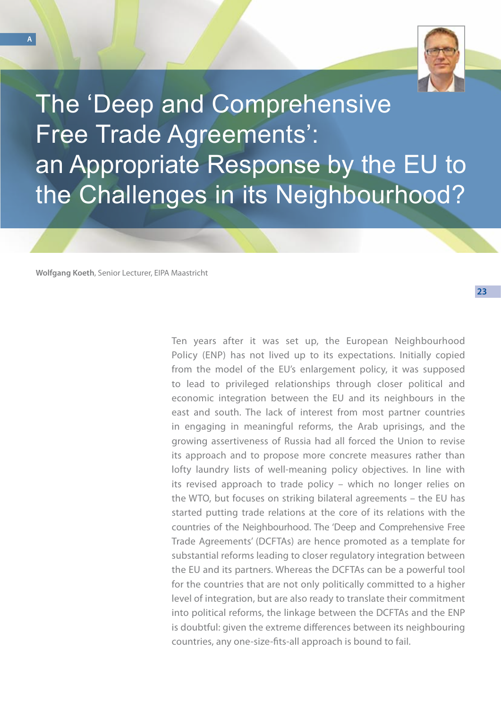

The 'Deep and Comprehensive Free Trade Agreements': an Appropriate Response by the EU to the Challenges in its Neighbourhood?

**Wolfgang Koeth**, Senior Lecturer, EIPA Maastricht

Ten years after it was set up, the European Neighbourhood Policy (ENP) has not lived up to its expectations. Initially copied from the model of the EU's enlargement policy, it was supposed to lead to privileged relationships through closer political and economic integration between the EU and its neighbours in the east and south. The lack of interest from most partner countries in engaging in meaningful reforms, the Arab uprisings, and the growing assertiveness of Russia had all forced the Union to revise its approach and to propose more concrete measures rather than lofty laundry lists of well-meaning policy objectives. In line with its revised approach to trade policy – which no longer relies on the WTO, but focuses on striking bilateral agreements – the EU has started putting trade relations at the core of its relations with the countries of the Neighbourhood. The 'Deep and Comprehensive Free Trade Agreements' (DCFTAs) are hence promoted as a template for substantial reforms leading to closer regulatory integration between the EU and its partners. Whereas the DCFTAs can be a powerful tool for the countries that are not only politically committed to a higher level of integration, but are also ready to translate their commitment into political reforms, the linkage between the DCFTAs and the ENP is doubtful: given the extreme differences between its neighbouring countries, any one-size-fits-all approach is bound to fail.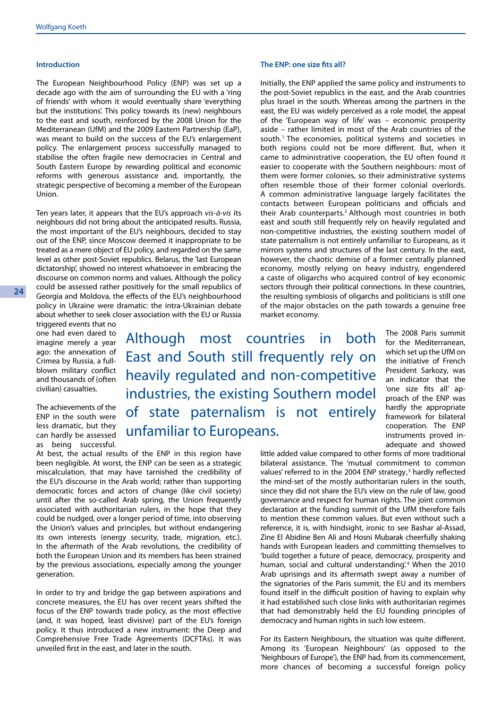### **Introduction**

The European Neighbourhood Policy (ENP) was set up a decade ago with the aim of surrounding the EU with a 'ring of friends' with whom it would eventually share 'everything but the institutions'. This policy towards its (new) neighbours to the east and south, reinforced by the 2008 Union for the Mediterranean (UfM) and the 2009 Eastern Partnership (EaP), was meant to build on the success of the EU's enlargement policy. The enlargement process successfully managed to stabilise the often fragile new democracies in Central and South Eastern Europe by rewarding political and economic reforms with generous assistance and, importantly, the strategic perspective of becoming a member of the European Union.

Ten years later, it appears that the EU's approach *vis-à-vis* its neighbours did not bring about the anticipated results. Russia, the most important of the EU's neighbours, decided to stay out of the ENP, since Moscow deemed it inappropriate to be treated as a mere object of EU policy, and regarded on the same level as other post-Soviet republics. Belarus, the 'last European dictatorship', showed no interest whatsoever in embracing the discourse on common norms and values. Although the policy could be assessed rather positively for the small republics of Georgia and Moldova, the effects of the EU's neighbourhood policy in Ukraine were dramatic: the intra-Ukrainian debate about whether to seek closer association with the EU or Russia

triggered events that no one had even dared to imagine merely a year ago: the annexation of Crimea by Russia, a fullblown military conflict and thousands of (often civilian) casualties.

The achievements of the ENP in the south were less dramatic, but they can hardly be assessed as being successful. Although most countries in both East and South still frequently rely on heavily regulated and non-competitive industries, the existing Southern model of state paternalism is not entirely unfamiliar to Europeans.

The 2008 Paris summit for the Mediterranean, which set up the UfM on the initiative of French President Sarkozy, was an indicator that the 'one size fits all' approach of the ENP was hardly the appropriate framework for bilateral cooperation. The ENP instruments proved inadequate and showed

little added value compared to other forms of more traditional bilateral assistance. The 'mutual commitment to common values' referred to in the 2004 ENP strategy, $3$  hardly reflected the mind-set of the mostly authoritarian rulers in the south, since they did not share the EU's view on the rule of law, good governance and respect for human rights. The joint common declaration at the funding summit of the UfM therefore fails to mention these common values. But even without such a reference, it is, with hindsight, ironic to see Bashar al-Assad, Zine El Abidine Ben Ali and Hosni Mubarak cheerfully shaking hands with European leaders and committing themselves to 'build together a future of peace, democracy, prosperity and human, social and cultural understanding'.<sup>4</sup> When the 2010 Arab uprisings and its aftermath swept away a number of the signatories of the Paris summit, the EU and its members found itself in the difficult position of having to explain why it had established such close links with authoritarian regimes that had demonstrably held the EU founding principles of democracy and human rights in such low esteem.

For its Eastern Neighbours, the situation was quite different. Among its 'European Neighbours' (as opposed to the 'Neighbours of Europe'), the ENP had, from its commencement, more chances of becoming a successful foreign policy

**The ENP: one size fits all?**

Initially, the ENP applied the same policy and instruments to the post-Soviet republics in the east, and the Arab countries plus Israel in the south. Whereas among the partners in the east, the EU was widely perceived as a role model, the appeal of the 'European way of life' was – economic prosperity aside – rather limited in most of the Arab countries of the south.<sup>1</sup> The economies, political systems and societies in both regions could not be more different. But, when it came to administrative cooperation, the EU often found it easier to cooperate with the Southern neighbours: most of them were former colonies, so their administrative systems often resemble those of their former colonial overlords. A common administrative language largely facilitates the contacts between European politicians and officials and their Arab counterparts.<sup>2</sup> Although most countries in both east and south still frequently rely on heavily regulated and non-competitive industries, the existing southern model of state paternalism is not entirely unfamiliar to Europeans, as it mirrors systems and structures of the last century. In the east, however, the chaotic demise of a former centrally planned economy, mostly relying on heavy industry, engendered a caste of oligarchs who acquired control of key economic sectors through their political connections. In these countries, the resulting symbiosis of oligarchs and politicians is still one of the major obstacles on the path towards a genuine free market economy.

At best, the actual results of the ENP in this region have been negligible. At worst, the ENP can be seen as a strategic miscalculation, that may have tarnished the credibility of the EU's discourse in the Arab world; rather than supporting democratic forces and actors of change (like civil society) until after the so-called Arab spring, the Union frequently associated with authoritarian rulers, in the hope that they could be nudged, over a longer period of time, into observing the Union's values and principles, but without endangering its own interests (energy security, trade, migration, etc.). In the aftermath of the Arab revolutions, the credibility of both the European Union and its members has been strained by the previous associations, especially among the younger generation.

In order to try and bridge the gap between aspirations and concrete measures, the EU has over recent years shifted the focus of the ENP towards trade policy, as the most effective (and, it was hoped, least divisive) part of the EU's foreign policy. It thus introduced a new instrument: the Deep and Comprehensive Free Trade Agreements (DCFTAs). It was unveiled first in the east, and later in the south.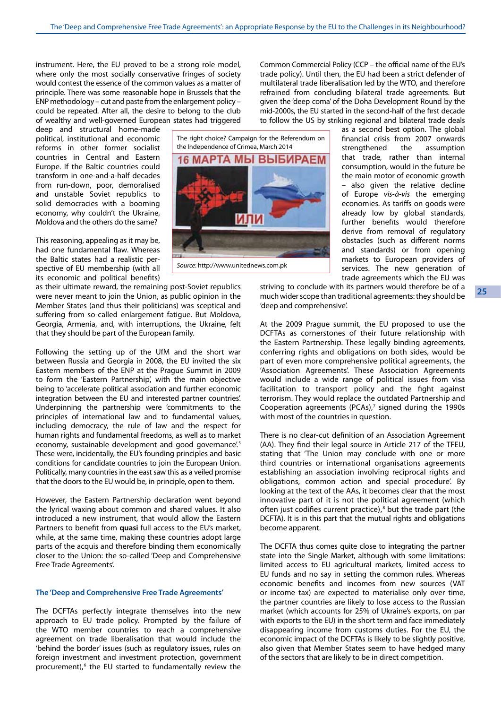instrument. Here, the EU proved to be a strong role model, where only the most socially conservative fringes of society would contest the essence of the common values as a matter of principle. There was some reasonable hope in Brussels that the ENP methodology – cut and paste from the enlargement policy – could be repeated. After all, the desire to belong to the club of wealthy and well-governed European states had triggered

deep and structural home-made political, institutional and economic reforms in other former socialist countries in Central and Eastern Europe. If the Baltic countries could transform in one-and-a-half decades from run-down, poor, demoralised and unstable Soviet republics to solid democracies with a booming economy, why couldn't the Ukraine, Moldova and the others do the same?

This reasoning, appealing as it may be, had one fundamental flaw. Whereas the Baltic states had a realistic perspective of EU membership (with all its economic and political benefits)

as their ultimate reward, the remaining post-Soviet republics were never meant to join the Union, as public opinion in the Member States (and thus their politicians) was sceptical and suffering from so-called enlargement fatigue. But Moldova, Georgia, Armenia, and, with interruptions, the Ukraine, felt that they should be part of the European family.

Following the setting up of the UfM and the short war between Russia and Georgia in 2008, the EU invited the six Eastern members of the ENP at the Prague Summit in 2009 to form the 'Eastern Partnership', with the main objective being to 'accelerate political association and further economic integration between the EU and interested partner countries'. Underpinning the partnership were 'commitments to the principles of international law and to fundamental values, including democracy, the rule of law and the respect for human rights and fundamental freedoms, as well as to market economy, sustainable development and good governance.<sup>5</sup> These were, incidentally, the EU's founding principles and basic conditions for candidate countries to join the European Union. Politically, many countries in the east saw this as a veiled promise that the doors to the EU would be, in principle, open to them.

However, the Eastern Partnership declaration went beyond the lyrical waxing about common and shared values. It also introduced a new instrument, that would allow the Eastern Partners to benefit from **quasi** full access to the EU's market, while, at the same time, making these countries adopt large parts of the acquis and therefore binding them economically closer to the Union: the so-called 'Deep and Comprehensive Free Trade Agreements'.

# **The 'Deep and Comprehensive Free Trade Agreements'**

The DCFTAs perfectly integrate themselves into the new approach to EU trade policy. Prompted by the failure of the WTO member countries to reach a comprehensive agreement on trade liberalisation that would include the 'behind the border' issues (such as regulatory issues, rules on foreign investment and investment protection, government procurement),<sup>6</sup> the EU started to fundamentally review the



*Source*: [http://www.unitednews.com.pk](http://www.unitednews.com.pk/)

Common Commercial Policy (CCP – the official name of the EU's trade policy). Until then, the EU had been a strict defender of multilateral trade liberalisation led by the WTO, and therefore refrained from concluding bilateral trade agreements. But given the 'deep coma' of the Doha Development Round by the mid-2000s, the EU started in the second-half of the first decade to follow the US by striking regional and bilateral trade deals

> as a second best option. The global financial crisis from 2007 onwards strengthened the assumption that trade, rather than internal consumption, would in the future be the main motor of economic growth – also given the relative decline of Europe *vis-à-vis* the emerging economies. As tariffs on goods were already low by global standards, further benefits would therefore derive from removal of regulatory obstacles (such as different norms and standards) or from opening markets to European providers of services. The new generation of trade agreements which the EU was

striving to conclude with its partners would therefore be of a much wider scope than traditional agreements: they should be 'deep and comprehensive'.

At the 2009 Prague summit, the EU proposed to use the DCFTAs as cornerstones of their future relationship with the Eastern Partnership. These legally binding agreements, conferring rights and obligations on both sides, would be part of even more comprehensive political agreements, the 'Association Agreements'. These Association Agreements would include a wide range of political issues from visa facilitation to transport policy and the fight against terrorism. They would replace the outdated Partnership and Cooperation agreements (PCAs), $<sup>7</sup>$  signed during the 1990s</sup> with most of the countries in question.

There is no clear-cut definition of an Association Agreement (AA). They find their legal source in Article 217 of the TFEU, stating that 'The Union may conclude with one or more third countries or international organisations agreements establishing an association involving reciprocal rights and obligations, common action and special procedure'. By looking at the text of the AAs, it becomes clear that the most innovative part of it is not the political agreement (which often just codifies current practice),<sup>8</sup> but the trade part (the DCFTA). It is in this part that the mutual rights and obligations become apparent.

The DCFTA thus comes quite close to integrating the partner state into the Single Market, although with some limitations: limited access to EU agricultural markets, limited access to EU funds and no say in setting the common rules. Whereas economic benefits and incomes from new sources (VAT or income tax) are expected to materialise only over time, the partner countries are likely to lose access to the Russian market (which accounts for 25% of Ukraine's exports, on par with exports to the EU) in the short term and face immediately disappearing income from customs duties. For the EU, the economic impact of the DCFTAs is likely to be slightly positive, also given that Member States seem to have hedged many of the sectors that are likely to be in direct competition.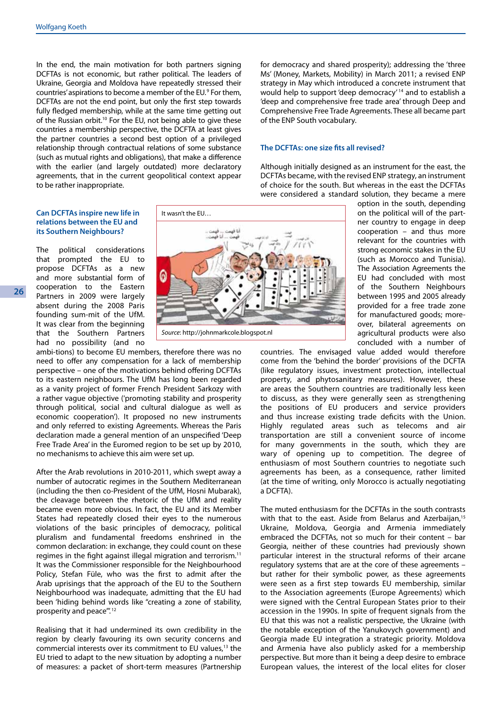In the end, the main motivation for both partners signing DCFTAs is not economic, but rather political. The leaders of Ukraine, Georgia and Moldova have repeatedly stressed their countries' aspirations to become a member of the EU.<sup>9</sup> For them, DCFTAs are not the end point, but only the first step towards fully fledged membership, while at the same time getting out of the Russian orbit.<sup>10</sup> For the EU, not being able to give these countries a membership perspective, the DCFTA at least gives the partner countries a second best option of a privileged relationship through contractual relations of some substance (such as mutual rights and obligations), that make a difference with the earlier (and largely outdated) more declaratory agreements, that in the current geopolitical context appear to be rather inappropriate.

for democracy and shared prosperity); addressing the 'three Ms' (Money, Markets, Mobility) in March 2011; a revised ENP strategy in May which introduced a concrete instrument that would help to support 'deep democracy' 14 and to establish a 'deep and comprehensive free trade area' through Deep and Comprehensive Free Trade Agreements.These all became part of the ENP South vocabulary.

### **The DCFTAs: one size fits all revised?**

Although initially designed as an instrument for the east, the DCFTAs became, with the revised ENP strategy, an instrument of choice for the south. But whereas in the east the DCFTAs were considered a standard solution, they became a mere

# **Can DCFTAs inspire new life in relations between the EU and its Southern Neighbours?**

The political considerations that prompted the EU to propose DCFTAs as a new and more substantial form of cooperation to the Eastern Partners in 2009 were largely absent during the 2008 Paris founding sum-mit of the UfM. It was clear from the beginning that the Southern Partners had no possibility (and no

ambi-tions) to become EU members, therefore there was no need to offer any compensation for a lack of membership perspective – one of the motivations behind offering DCFTAs to its eastern neighbours. The UfM has long been regarded as a vanity project of former French President Sarkozy with a rather vague objective ('promoting stability and prosperity through political, social and cultural dialogue as well as economic cooperation'). It proposed no new instruments and only referred to existing Agreements. Whereas the Paris declaration made a general mention of an unspecified 'Deep Free Trade Area' in the Euromed region to be set up by 2010, no mechanisms to achieve this aim were set up.

After the Arab revolutions in 2010-2011, which swept away a number of autocratic regimes in the Southern Mediterranean (including the then co-President of the UfM, Hosni Mubarak), the cleavage between the rhetoric of the UfM and reality became even more obvious. In fact, the EU and its Member States had repeatedly closed their eyes to the numerous violations of the basic principles of democracy, political pluralism and fundamental freedoms enshrined in the common declaration: in exchange, they could count on these regimes in the fight against illegal migration and terrorism.<sup>11</sup> It was the Commissioner responsible for the Neighbourhood Policy, Stefan Füle, who was the first to admit after the Arab uprisings that the approach of the EU to the Southern Neighbourhood was inadequate, admitting that the EU had been 'hiding behind words like "creating a zone of stability, prosperity and peace".<sup>12</sup>

Realising that it had undermined its own credibility in the region by clearly favouring its own security concerns and commercial interests over its commitment to EU values,<sup>13</sup> the EU tried to adapt to the new situation by adopting a number of measures: a packet of short-term measures (Partnership



*Source*: [http://johnmarkcole.blogspot.nl](http://johnmarkcole.blogspot.nl/2011/10/will-libya-follow-tunisia-into-light-or.html)

option in the south, depending on the political will of the partner country to engage in deep cooperation – and thus more relevant for the countries with strong economic stakes in the EU (such as Morocco and Tunisia). The Association Agreements the EU had concluded with most of the Southern Neighbours between 1995 and 2005 already provided for a free trade zone for manufactured goods; moreover, bilateral agreements on agricultural products were also concluded with a number of

countries. The envisaged value added would therefore come from the 'behind the border' provisions of the DCFTA (like regulatory issues, investment protection, intellectual property, and phytosanitary measures). However, these are areas the Southern countries are traditionally less keen to discuss, as they were generally seen as strengthening the positions of EU producers and service providers and thus increase existing trade deficits with the Union. Highly regulated areas such as telecoms and air transportation are still a convenient source of income for many governments in the south, which they are wary of opening up to competition. The degree of enthusiasm of most Southern countries to negotiate such agreements has been, as a consequence, rather limited (at the time of writing, only Morocco is actually negotiating a DCFTA).

The muted enthusiasm for the DCFTAs in the south contrasts with that to the east. Aside from Belarus and Azerbaijan,<sup>15</sup> Ukraine, Moldova, Georgia and Armenia immediately embraced the DCFTAs, not so much for their content – bar Georgia, neither of these countries had previously shown particular interest in the structural reforms of their arcane regulatory systems that are at the core of these agreements – but rather for their symbolic power, as these agreements were seen as a first step towards EU membership, similar to the Association agreements (Europe Agreements) which were signed with the Central European States prior to their accession in the 1990s. In spite of frequent signals from the EU that this was not a realistic perspective, the Ukraine (with the notable exception of the Yanukovych government) and Georgia made EU integration a strategic priority. Moldova and Armenia have also publicly asked for a membership perspective. But more than it being a deep desire to embrace European values, the interest of the local elites for closer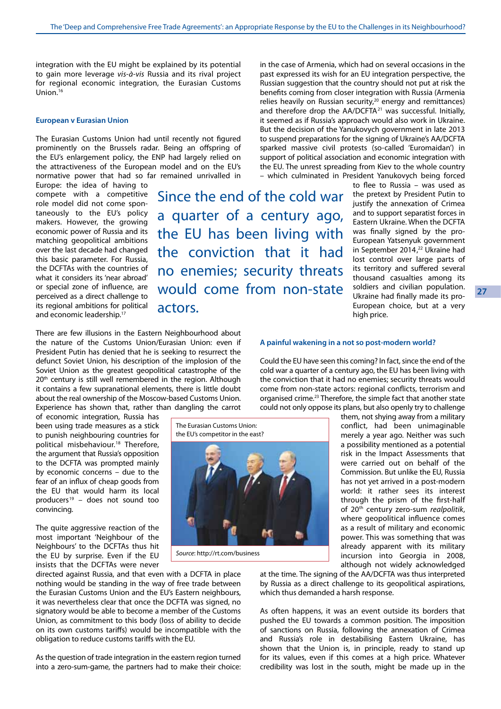integration with the EU might be explained by its potential to gain more leverage *vis-à-vis* Russia and its rival project for regional economic integration, the Eurasian Customs Union.16

#### **European v Eurasian Union**

The Eurasian Customs Union had until recently not figured prominently on the Brussels radar. Being an offspring of the EU's enlargement policy, the ENP had largely relied on the attractiveness of the European model and on the EU's normative power that had so far remained unrivalled in

Europe: the idea of having to compete with a competitive role model did not come spontaneously to the EU's policy makers. However, the growing economic power of Russia and its matching geopolitical ambitions over the last decade had changed this basic parameter. For Russia, the DCFTAs with the countries of what it considers its 'near abroad' or special zone of influence, are perceived as a direct challenge to its regional ambitions for political and economic leadership.<sup>17</sup>

Since the end of the cold war a quarter of a century ago, the EU has been living with the conviction that it had no enemies; security threats would come from non-state actors.

the EU. The unrest spreading from Kiev to the whole country – which culminated in President Yanukovych being forced to flee to Russia – was used as the pretext by President Putin to justify the annexation of Crimea and to support separatist forces in Eastern Ukraine. When the DCFTA was finally signed by the pro-European Yatsenyuk government in September 2014,<sup>22</sup> Ukraine had lost control over large parts of its territory and suffered several thousand casualties among its soldiers and civilian population. Ukraine had finally made its pro-European choice, but at a very high price.

There are few illusions in the Eastern Neighbourhood about the nature of the Customs Union/Eurasian Union: even if President Putin has denied that he is seeking to resurrect the defunct Soviet Union, his description of the implosion of the Soviet Union as the greatest geopolitical catastrophe of the 20<sup>th</sup> century is still well remembered in the region. Although it contains a few supranational elements, there is little doubt about the real ownership of the Moscow-based Customs Union. Experience has shown that, rather than dangling the carrot

of economic integration, Russia has been using trade measures as a stick to punish neighbouring countries for political misbehaviour.<sup>18</sup> Therefore, the argument that Russia's opposition to the DCFTA was prompted mainly by economic concerns – due to the fear of an influx of cheap goods from the EU that would harm its local producers<sup>19</sup> – does not sound too convincing.

The quite aggressive reaction of the most important 'Neighbour of the Neighbours' to the DCFTAs thus hit the EU by surprise. Even if the EU insists that the DCFTAs were never

directed against Russia, and that even with a DCFTA in place nothing would be standing in the way of free trade between the Eurasian Customs Union and the EU's Eastern neighbours, it was nevertheless clear that once the DCFTA was signed, no signatory would be able to become a member of the Customs Union, as commitment to this body (loss of ability to decide on its own customs tariffs) would be incompatible with the obligation to reduce customs tariffs with the EU.

As the question of trade integration in the eastern region turned into a zero-sum-game, the partners had to make their choice:

The Eurasian Customs Union: the EU's competitor in the east?

*Source*: [http://rt.com/business]( Russia, Belarus and Kazakhstan sign Eurasian Economic Union  Kazakhstan-Russia-Be_sham-725x483  Putin_Nazarbayev_Lukashenko  http://rt.com/business)

# **A painful wakening in a not so post-modern world?**

Could the EU have seen this coming? In fact, since the end of the cold war a quarter of a century ago, the EU has been living with the conviction that it had no enemies; security threats would come from non-state actors: regional conflicts, terrorism and organised crime.<sup>23</sup> Therefore, the simple fact that another state could not only oppose its plans, but also openly try to challenge

in the case of Armenia, which had on several occasions in the past expressed its wish for an EU integration perspective, the Russian suggestion that the country should not put at risk the benefits coming from closer integration with Russia (Armenia relies heavily on Russian security.<sup>20</sup> energy and remittances) and therefore drop the AA/DCFTA<sup>21</sup> was successful. Initially, it seemed as if Russia's approach would also work in Ukraine. But the decision of the Yanukovych government in late 2013 to suspend preparations for the signing of Ukraine's AA/DCFTA sparked massive civil protests (so-called 'Euromaidan') in support of political association and economic integration with

> them, not shying away from a military conflict, had been unimaginable merely a year ago. Neither was such a possibility mentioned as a potential risk in the Impact Assessments that were carried out on behalf of the Commission. But unlike the EU, Russia has not yet arrived in a post-modern world: it rather sees its interest through the prism of the first-half of 20th century zero-sum *realpolitik*, where geopolitical influence comes as a result of military and economic power. This was something that was already apparent with its military incursion into Georgia in 2008, although not widely acknowledged

at the time. The signing of the AA/DCFTA was thus interpreted by Russia as a direct challenge to its geopolitical aspirations, which thus demanded a harsh response.

As often happens, it was an event outside its borders that pushed the EU towards a common position. The imposition of sanctions on Russia, following the annexation of Crimea and Russia's role in destabilising Eastern Ukraine, has shown that the Union is, in principle, ready to stand up for its values, even if this comes at a high price. Whatever credibility was lost in the south, might be made up in the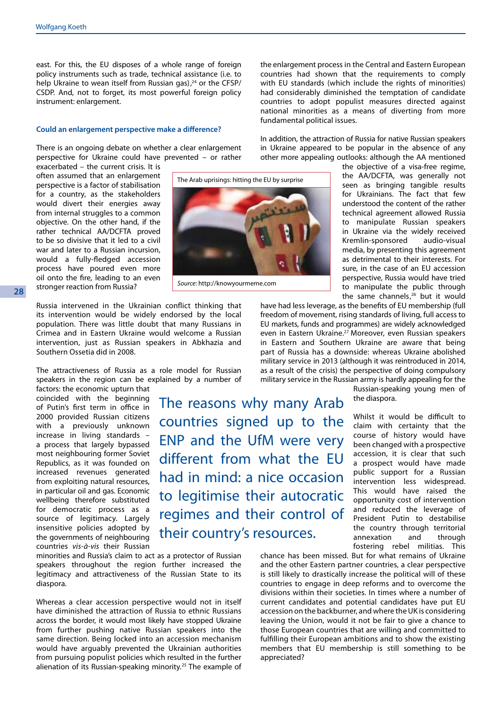east. For this, the EU disposes of a whole range of foreign policy instruments such as trade, technical assistance (i.e. to help Ukraine to wean itself from Russian gas), $24$  or the CFSP/ CSDP. And, not to forget, its most powerful foreign policy instrument: enlargement.

#### **Could an enlargement perspective make a difference?**

There is an ongoing debate on whether a clear enlargement perspective for Ukraine could have prevented – or rather

exacerbated – the current crisis. It is often assumed that an enlargement perspective is a factor of stabilisation for a country, as the stakeholders would divert their energies away from internal struggles to a common objective. On the other hand, if the rather technical AA/DCFTA proved to be so divisive that it led to a civil war and later to a Russian incursion, would a fully-fledged accession process have poured even more oil onto the fire, leading to an even stronger reaction from Russia?

**28**

Russia intervened in the Ukrainian conflict thinking that its intervention would be widely endorsed by the local population. There was little doubt that many Russians in Crimea and in Eastern Ukraine would welcome a Russian intervention, just as Russian speakers in Abkhazia and Southern Ossetia did in 2008.

The attractiveness of Russia as a role model for Russian speakers in the region can be explained by a number of

factors: the economic upturn that coincided with the beginning of Putin's first term in office in 2000 provided Russian citizens with a previously unknown increase in living standards – a process that largely bypassed most neighbouring former Soviet Republics, as it was founded on increased revenues generated from exploiting natural resources, in particular oil and gas. Economic wellbeing therefore substituted for democratic process as a source of legitimacy. Largely insensitive policies adopted by the governments of neighbouring countries *vis-à-vis* their Russian

The reasons why many Arab countries signed up to the ENP and the UfM were very different from what the EU had in mind: a nice occasion to legitimise their autocratic regimes and their control of their country's resources.

minorities and Russia's claim to act as a protector of Russian speakers throughout the region further increased the legitimacy and attractiveness of the Russian State to its diaspora.

Whereas a clear accession perspective would not in itself have diminished the attraction of Russia to ethnic Russians across the border, it would most likely have stopped Ukraine from further pushing native Russian speakers into the same direction. Being locked into an accession mechanism would have arguably prevented the Ukrainian authorities from pursuing populist policies which resulted in the further alienation of its Russian-speaking minority.<sup>25</sup> The example of

the enlargement process in the Central and Eastern European countries had shown that the requirements to comply with EU standards (which include the rights of minorities) had considerably diminished the temptation of candidate countries to adopt populist measures directed against national minorities as a means of diverting from more fundamental political issues.

In addition, the attraction of Russia for native Russian speakers in Ukraine appeared to be popular in the absence of any other more appealing outlooks: although the AA mentioned

> the objective of a visa-free regime, the AA/DCFTA, was generally not seen as bringing tangible results for Ukrainians. The fact that few understood the content of the rather technical agreement allowed Russia to manipulate Russian speakers in Ukraine via the widely received Kremlin-sponsored audio-visual media, by presenting this agreement as detrimental to their interests. For sure, in the case of an EU accession perspective, Russia would have tried to manipulate the public through the same channels,<sup>26</sup> but it would

have had less leverage, as the benefits of EU membership (full freedom of movement, rising standards of living, full access to EU markets, funds and programmes) are widely acknowledged even in Eastern Ukraine.<sup>27</sup> Moreover, even Russian speakers in Eastern and Southern Ukraine are aware that being part of Russia has a downside: whereas Ukraine abolished military service in 2013 (although it was reintroduced in 2014, as a result of the crisis) the perspective of doing compulsory military service in the Russian army is hardly appealing for the

> Russian-speaking young men of the diaspora.

> Whilst it would be difficult to claim with certainty that the course of history would have been changed with a prospective accession, it is clear that such a prospect would have made public support for a Russian intervention less widespread. This would have raised the opportunity cost of intervention and reduced the leverage of President Putin to destabilise the country through territorial<br>annexation and through annexation and through fostering rebel militias. This

chance has been missed. But for what remains of Ukraine and the other Eastern partner countries, a clear perspective is still likely to drastically increase the political will of these countries to engage in deep reforms and to overcome the divisions within their societies. In times where a number of current candidates and potential candidates have put EU accession on the backburner, and where the UK is considering leaving the Union, would it not be fair to give a chance to those European countries that are willing and committed to fulfilling their European ambitions and to show the existing members that EU membership is still something to be appreciated?

The Arab uprisings: hitting the EU by surpriseمتعلقهما

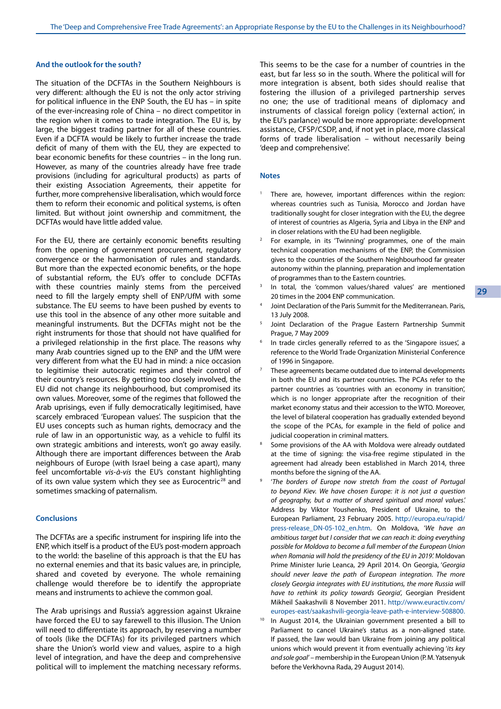### **And the outlook for the south?**

The situation of the DCFTAs in the Southern Neighbours is very different: although the EU is not the only actor striving for political influence in the ENP South, the EU has – in spite of the ever-increasing role of China – no direct competitor in the region when it comes to trade integration. The EU is, by large, the biggest trading partner for all of these countries. Even if a DCFTA would be likely to further increase the trade deficit of many of them with the EU, they are expected to bear economic benefits for these countries – in the long run. However, as many of the countries already have free trade provisions (including for agricultural products) as parts of their existing Association Agreements, their appetite for further, more comprehensive liberalisation, which would force them to reform their economic and political systems, is often limited. But without joint ownership and commitment, the DCFTAs would have little added value.

For the EU, there are certainly economic benefits resulting from the opening of government procurement, regulatory convergence or the harmonisation of rules and standards. But more than the expected economic benefits, or the hope of substantial reform, the EU's offer to conclude DCFTAs with these countries mainly stems from the perceived need to fill the largely empty shell of ENP/UfM with some substance. The EU seems to have been pushed by events to use this tool in the absence of any other more suitable and meaningful instruments. But the DCFTAs might not be the right instruments for those that should not have qualified for a privileged relationship in the first place. The reasons why many Arab countries signed up to the ENP and the UfM were very different from what the EU had in mind: a nice occasion to legitimise their autocratic regimes and their control of their country's resources. By getting too closely involved, the EU did not change its neighbourhood, but compromised its own values. Moreover, some of the regimes that followed the Arab uprisings, even if fully democratically legitimised, have scarcely embraced 'European values'. The suspicion that the EU uses concepts such as human rights, democracy and the rule of law in an opportunistic way, as a vehicle to fulfil its own strategic ambitions and interests, won't go away easily. Although there are important differences between the Arab neighbours of Europe (with Israel being a case apart), many feel uncomfortable *vis-à-vis* the EU's constant highlighting of its own value system which they see as Eurocentric<sup>28</sup> and sometimes smacking of paternalism.

### **Conclusions**

The DCFTAs are a specific instrument for inspiring life into the ENP, which itself is a product of the EU's post-modern approach to the world: the baseline of this approach is that the EU has no external enemies and that its basic values are, in principle, shared and coveted by everyone. The whole remaining challenge would therefore be to identify the appropriate means and instruments to achieve the common goal.

The Arab uprisings and Russia's aggression against Ukraine have forced the EU to say farewell to this illusion. The Union will need to differentiate its approach, by reserving a number of tools (like the DCFTAs) for its privileged partners which share the Union's world view and values, aspire to a high level of integration, and have the deep and comprehensive political will to implement the matching necessary reforms. This seems to be the case for a number of countries in the east, but far less so in the south. Where the political will for more integration is absent, both sides should realise that fostering the illusion of a privileged partnership serves no one; the use of traditional means of diplomacy and instruments of classical foreign policy ('external action', in the EU's parlance) would be more appropriate: development assistance, CFSP/CSDP, and, if not yet in place, more classical forms of trade liberalisation – without necessarily being 'deep and comprehensive'.

#### **Notes**

- There are, however, important differences within the region: whereas countries such as Tunisia, Morocco and Jordan have traditionally sought for closer integration with the EU, the degree of interest of countries as Algeria, Syria and Libya in the ENP and in closer relations with the EU had been negligible.<br>2 For example, in its 'Twinning' programmes, one of the main
- technical cooperation mechanisms of the ENP, the Commission gives to the countries of the Southern Neighbourhood far greater autonomy within the planning, preparation and implementation of programmes than to the Eastern countries.
- In total, the 'common values/shared values' are mentioned 20 times in the 2004 ENP communication.
- <sup>4</sup> Joint Declaration of the Paris Summit for the Mediterranean. Paris, 13 July 2008.
- <sup>5</sup> Joint Declaration of the Prague Eastern Partnership Summit Prague, 7 May 2009
- In trade circles generally referred to as the 'Singapore issues', a reference to the World Trade Organization Ministerial Conference of 1996 in Singapore.
- <sup>7</sup> These agreements became outdated due to internal developments in both the EU and its partner countries. The PCAs refer to the partner countries as 'countries with an economy in transition', which is no longer appropriate after the recognition of their market economy status and their accession to the WTO. Moreover, the level of bilateral cooperation has gradually extended beyond the scope of the PCAs, for example in the field of police and judicial cooperation in criminal matters.<br>8 Some provisions of the AA with Moldova were already outdated
- at the time of signing: the visa-free regime stipulated in the agreement had already been established in March 2014, three months before the signing of the AA.
- <sup>9</sup> '*The borders of Europe now stretch from the coast of Portugal to beyond Kiev. We have chosen Europe: it is not just a question of geography, but a matter of shared spiritual and moral values*.' Address by Viktor Youshenko, President of Ukraine, to the European Parliament, 23 February 2005. [http://europa.eu/rapid/](http://europa.eu/rapid/press-release_DN-05-102_en.htm) [press-release\\_DN-05-102\\_en.htm](http://europa.eu/rapid/press-release_DN-05-102_en.htm). On Moldova, '*We have an ambitious target but I consider that we can reach it: doing everything possible for Moldova to become a full member of the European Union when Romania will hold the presidency of the EU in 2019*.' Moldovan Prime Minister Iurie Leanca, 29 April 2014. On Georgia, '*Georgia should never leave the path of European integration. The more closely Georgia integrates with EU institutions, the more Russia will have to rethink its policy towards Georgia*', Georgian President Mikheil Saakashvili 8 November 2011. [http://www.euractiv.com/](http://www.euractiv.com/europes-east/saakashvili-georgia-leave-path-e-interview-508800) [europes-east/saakashvili-georgia-leave-path-e-interview-508800](http://www.euractiv.com/europes-east/saakashvili-georgia-leave-path-e-interview-508800).
- In August 2014, the Ukrainian government presented a bill to Parliament to cancel Ukraine's status as a non-aligned state. If passed, the law would ban Ukraine from joining any political unions which would prevent it from eventually achieving '*its key and sole goal'* – membership in the European Union (P. M. Yatsenyuk before the Verkhovna Rada, 29 August 2014).